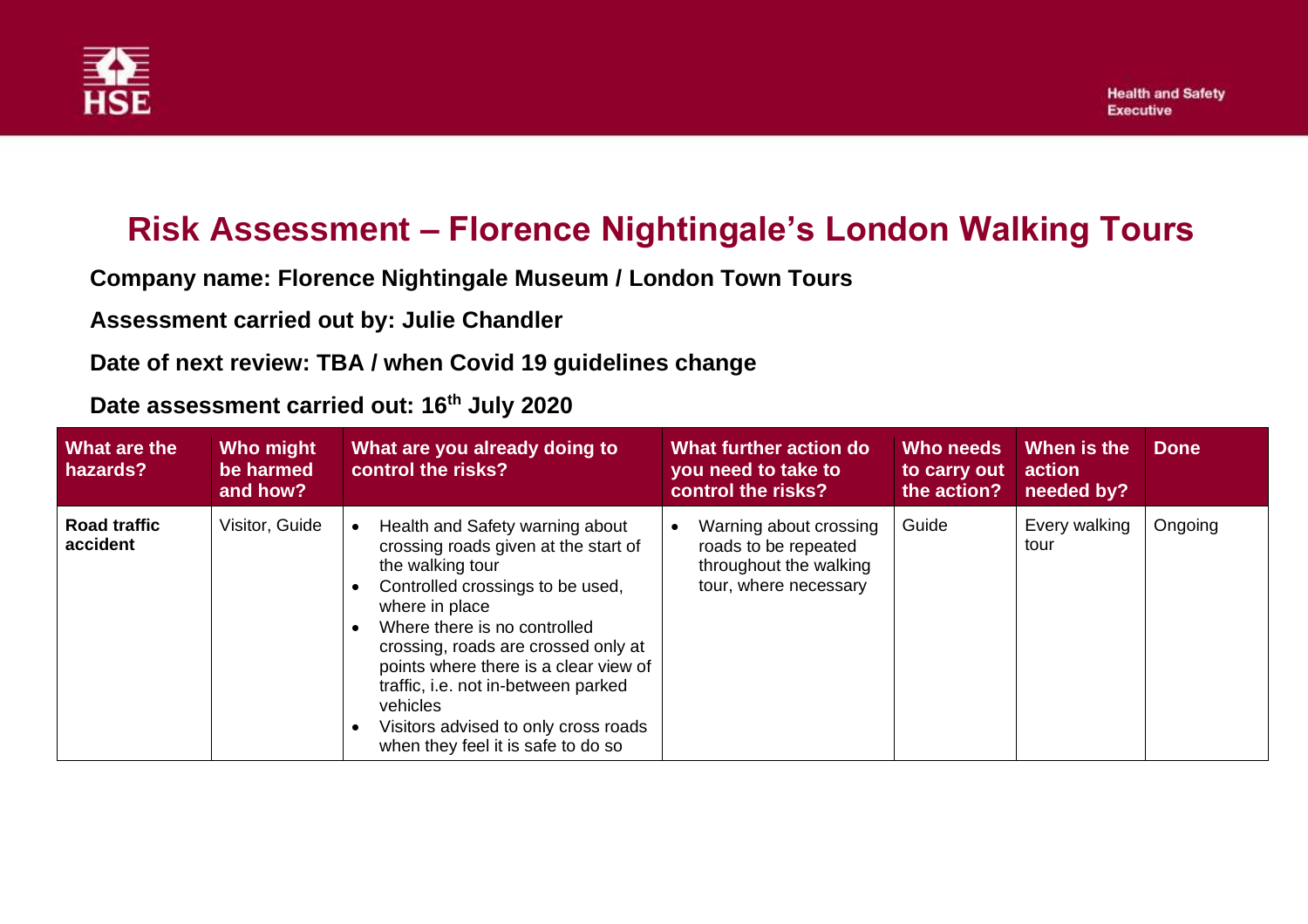

## **Risk Assessment – Florence Nightingale's London Walking Tours**

**Company name: Florence Nightingale Museum / London Town Tours**

**Assessment carried out by: Julie Chandler**

**Date of next review: TBA / when Covid 19 guidelines change**

**Date assessment carried out: 16th July 2020**

| <b>What are the</b><br>hazards? | Who might<br>be harmed<br>and how? | What are you already doing to<br>control the risks?                                                                                                                                                                                                                                                                                                                                                             | What further action do<br>you need to take to<br>control the risks?                               | Who needs<br>to carry out<br>the action? | When is the<br>action<br>needed by? | <b>Done</b> |
|---------------------------------|------------------------------------|-----------------------------------------------------------------------------------------------------------------------------------------------------------------------------------------------------------------------------------------------------------------------------------------------------------------------------------------------------------------------------------------------------------------|---------------------------------------------------------------------------------------------------|------------------------------------------|-------------------------------------|-------------|
| <b>Road traffic</b><br>accident | Visitor, Guide                     | Health and Safety warning about<br>$\bullet$<br>crossing roads given at the start of<br>the walking tour<br>Controlled crossings to be used,<br>where in place<br>Where there is no controlled<br>crossing, roads are crossed only at<br>points where there is a clear view of<br>traffic, i.e. not in-between parked<br>vehicles<br>Visitors advised to only cross roads<br>when they feel it is safe to do so | Warning about crossing<br>roads to be repeated<br>throughout the walking<br>tour, where necessary | Guide                                    | Every walking<br>tour               | Ongoing     |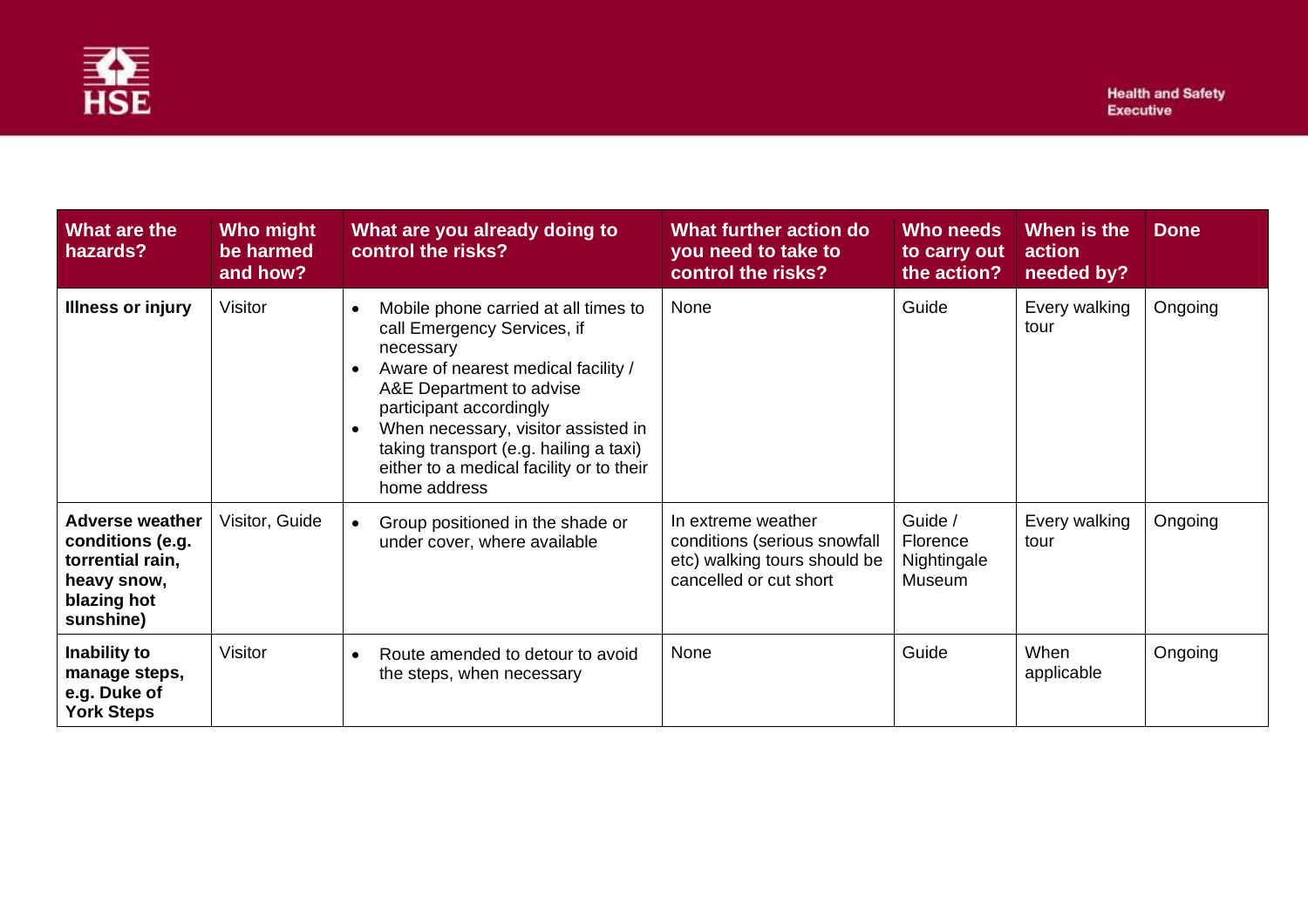

| What are the<br>hazards?                                                                                  | Who might<br>be harmed<br>and how? | What are you already doing to<br>control the risks?                                                                                                                                                                                                                                                                                                                | What further action do<br>you need to take to<br>control the risks?                                          | Who needs<br>to carry out<br>the action?     | When is the<br>action<br>needed by? | <b>Done</b> |
|-----------------------------------------------------------------------------------------------------------|------------------------------------|--------------------------------------------------------------------------------------------------------------------------------------------------------------------------------------------------------------------------------------------------------------------------------------------------------------------------------------------------------------------|--------------------------------------------------------------------------------------------------------------|----------------------------------------------|-------------------------------------|-------------|
| <b>Illness or injury</b>                                                                                  | Visitor                            | Mobile phone carried at all times to<br>$\bullet$<br>call Emergency Services, if<br>necessary<br>Aware of nearest medical facility /<br>$\bullet$<br>A&E Department to advise<br>participant accordingly<br>When necessary, visitor assisted in<br>$\bullet$<br>taking transport (e.g. hailing a taxi)<br>either to a medical facility or to their<br>home address | None                                                                                                         | Guide                                        | Every walking<br>tour               | Ongoing     |
| <b>Adverse weather</b><br>conditions (e.g.<br>torrential rain,<br>heavy snow,<br>blazing hot<br>sunshine) | Visitor, Guide                     | Group positioned in the shade or<br>$\bullet$<br>under cover, where available                                                                                                                                                                                                                                                                                      | In extreme weather<br>conditions (serious snowfall<br>etc) walking tours should be<br>cancelled or cut short | Guide /<br>Florence<br>Nightingale<br>Museum | Every walking<br>tour               | Ongoing     |
| Inability to<br>manage steps,<br>e.g. Duke of<br><b>York Steps</b>                                        | Visitor                            | Route amended to detour to avoid<br>$\bullet$<br>the steps, when necessary                                                                                                                                                                                                                                                                                         | None                                                                                                         | Guide                                        | When<br>applicable                  | Ongoing     |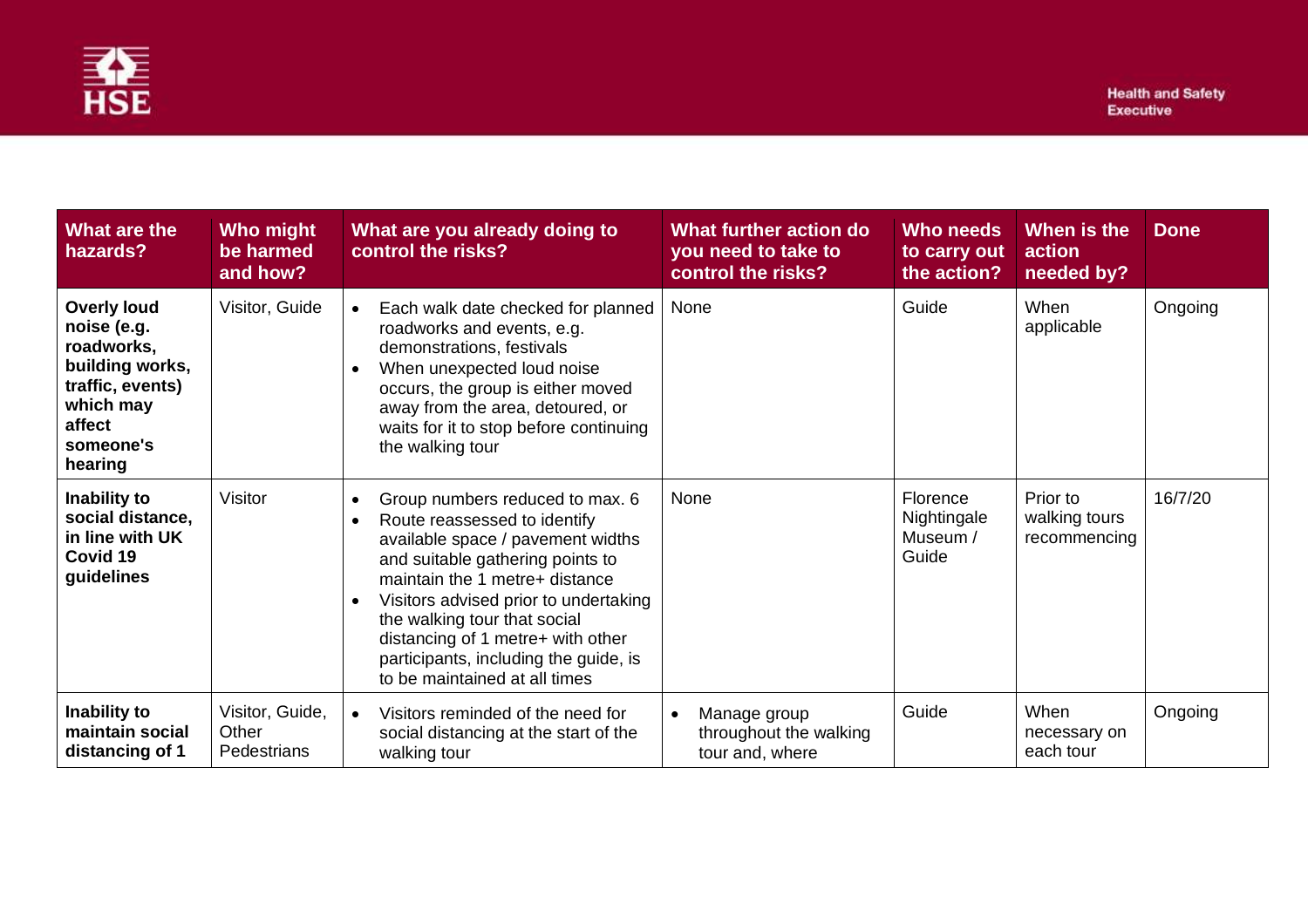

| What are the<br>hazards?                                                                                                              | Who might<br>be harmed<br>and how?      | What are you already doing to<br>control the risks?                                                                                                                                                                                                                                                                                                                                                       | What further action do<br>you need to take to<br>control the risks?    | Who needs<br>to carry out<br>the action?     | When is the<br>action<br>needed by?       | <b>Done</b> |
|---------------------------------------------------------------------------------------------------------------------------------------|-----------------------------------------|-----------------------------------------------------------------------------------------------------------------------------------------------------------------------------------------------------------------------------------------------------------------------------------------------------------------------------------------------------------------------------------------------------------|------------------------------------------------------------------------|----------------------------------------------|-------------------------------------------|-------------|
| <b>Overly loud</b><br>noise (e.g.<br>roadworks,<br>building works,<br>traffic, events)<br>which may<br>affect<br>someone's<br>hearing | Visitor, Guide                          | Each walk date checked for planned<br>$\bullet$<br>roadworks and events, e.g.<br>demonstrations, festivals<br>When unexpected loud noise<br>$\bullet$<br>occurs, the group is either moved<br>away from the area, detoured, or<br>waits for it to stop before continuing<br>the walking tour                                                                                                              | None                                                                   | Guide                                        | When<br>applicable                        | Ongoing     |
| Inability to<br>social distance,<br>in line with UK<br>Covid 19<br>guidelines                                                         | Visitor                                 | Group numbers reduced to max. 6<br>$\bullet$<br>Route reassessed to identify<br>$\bullet$<br>available space / pavement widths<br>and suitable gathering points to<br>maintain the 1 metre+ distance<br>Visitors advised prior to undertaking<br>$\bullet$<br>the walking tour that social<br>distancing of 1 metre+ with other<br>participants, including the guide, is<br>to be maintained at all times | None                                                                   | Florence<br>Nightingale<br>Museum /<br>Guide | Prior to<br>walking tours<br>recommencing | 16/7/20     |
| Inability to<br>maintain social<br>distancing of 1                                                                                    | Visitor, Guide,<br>Other<br>Pedestrians | Visitors reminded of the need for<br>$\bullet$<br>social distancing at the start of the<br>walking tour                                                                                                                                                                                                                                                                                                   | Manage group<br>$\bullet$<br>throughout the walking<br>tour and, where | Guide                                        | When<br>necessary on<br>each tour         | Ongoing     |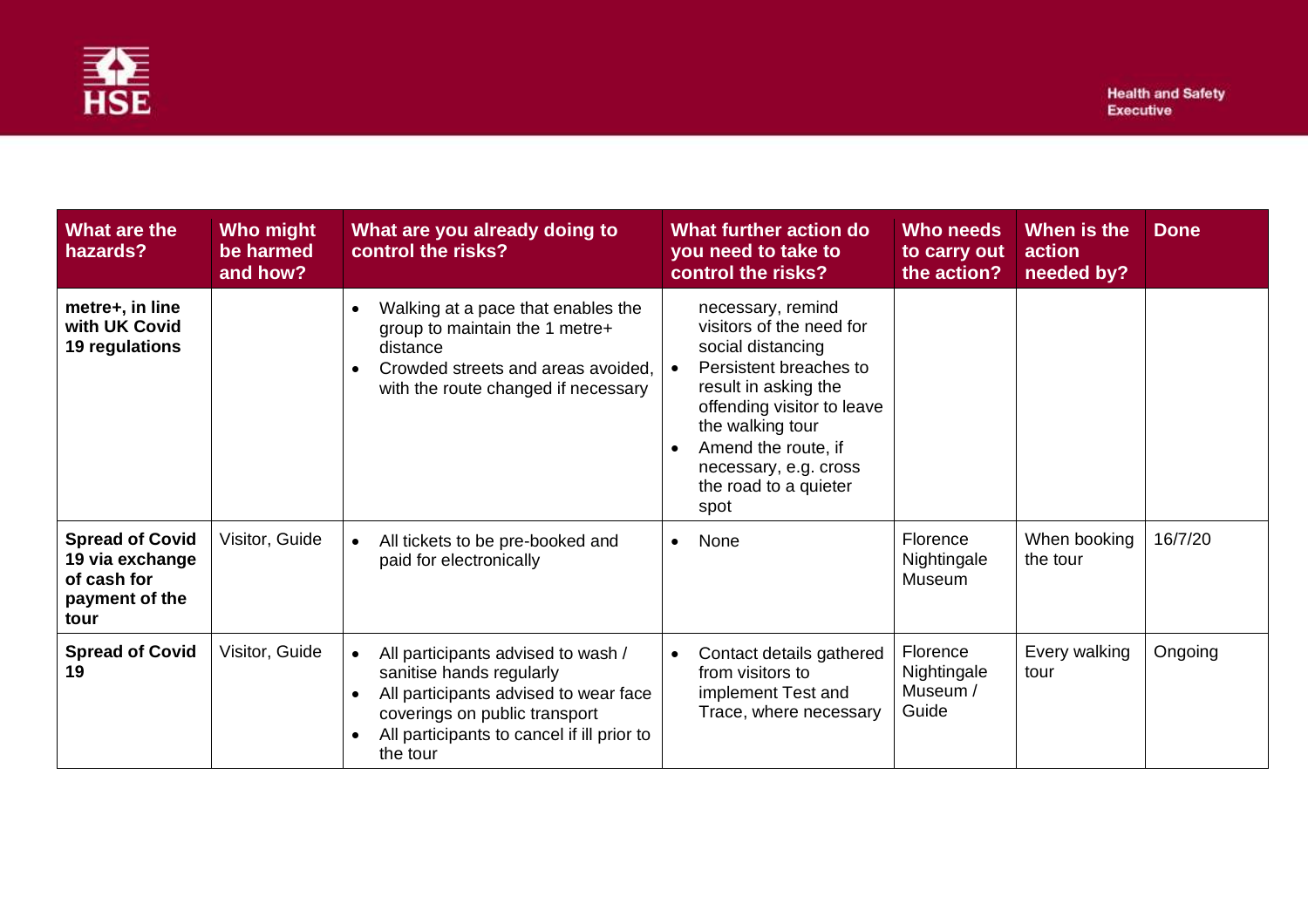

| What are the<br>hazards?                                                           | Who might<br>be harmed<br>and how? | What are you already doing to<br>control the risks?                                                                                                                                                             | What further action do<br>you need to take to<br>control the risks?                                                                                                                                                                                                  | <b>Who needs</b><br>to carry out<br>the action? | When is the<br>action<br>needed by? | <b>Done</b> |
|------------------------------------------------------------------------------------|------------------------------------|-----------------------------------------------------------------------------------------------------------------------------------------------------------------------------------------------------------------|----------------------------------------------------------------------------------------------------------------------------------------------------------------------------------------------------------------------------------------------------------------------|-------------------------------------------------|-------------------------------------|-------------|
| metre+, in line<br>with UK Covid<br>19 regulations                                 |                                    | Walking at a pace that enables the<br>$\bullet$<br>group to maintain the 1 metre+<br>distance<br>Crowded streets and areas avoided.<br>with the route changed if necessary                                      | necessary, remind<br>visitors of the need for<br>social distancing<br>Persistent breaches to<br>$\bullet$<br>result in asking the<br>offending visitor to leave<br>the walking tour<br>Amend the route, if<br>necessary, e.g. cross<br>the road to a quieter<br>spot |                                                 |                                     |             |
| <b>Spread of Covid</b><br>19 via exchange<br>of cash for<br>payment of the<br>tour | Visitor, Guide                     | All tickets to be pre-booked and<br>$\bullet$<br>paid for electronically                                                                                                                                        | None<br>$\bullet$                                                                                                                                                                                                                                                    | Florence<br>Nightingale<br>Museum               | When booking<br>the tour            | 16/7/20     |
| <b>Spread of Covid</b><br>19                                                       | Visitor, Guide                     | All participants advised to wash /<br>$\bullet$<br>sanitise hands regularly<br>All participants advised to wear face<br>coverings on public transport<br>All participants to cancel if ill prior to<br>the tour | Contact details gathered<br>from visitors to<br>implement Test and<br>Trace, where necessary                                                                                                                                                                         | Florence<br>Nightingale<br>Museum /<br>Guide    | Every walking<br>tour               | Ongoing     |